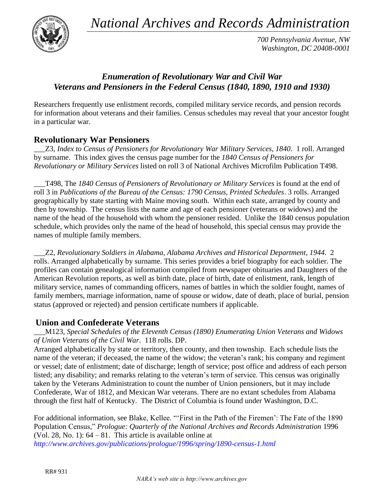*National Archives and Records Administration*



*700 Pennsylvania Avenue, NW Washington, DC 20408-0001*

# *Enumeration of Revolutionary War and Civil War Veterans and Pensioners in the Federal Census (1840, 1890, 1910 and 1930)*

Researchers frequently use enlistment records, compiled military service records, and pension records for information about veterans and their families. Census schedules may reveal that your ancestor fought in a particular war.

## **Revolutionary War Pensioners**

\_\_\_Z3, *Index to Census of Pensioners for Revolutionary War Military Services, 1840*. 1 roll. Arranged by surname. This index gives the census page number for the *1840 Census of Pensioners for Revolutionary or Military Services* listed on roll 3 of National Archives Microfilm Publication T498.

\_\_\_T498, The *1840 Census of Pensioners of Revolutionary or Military Services* is found at the end of roll 3 in *Publications of the Bureau of the Census: 1790 Census, Printed Schedules*. 3 rolls. Arranged geographically by state starting with Maine moving south. Within each state, arranged by county and then by township. The census lists the name and age of each pensioner (veterans or widows) and the name of the head of the household with whom the pensioner resided. Unlike the 1840 census population schedule, which provides only the name of the head of household, this special census may provide the names of multiple family members.

\_\_\_Z2, *Revolutionary Soldiers in Alabama, Alabama Archives and Historical Department, 1944*. 2 rolls. Arranged alphabetically by surname. This series provides a brief biography for each soldier. The profiles can contain genealogical information compiled from newspaper obituaries and Daughters of the American Revolution reports, as well as birth date, place of birth, date of enlistment, rank, length of military service, names of commanding officers, names of battles in which the soldier fought, names of family members, marriage information, name of spouse or widow, date of death, place of burial, pension status (approved or rejected) and pension certificate numbers if applicable.

### **Union and Confederate Veterans**

\_\_\_M123, *Special Schedules of the Eleventh Census (1890) Enumerating Union Veterans and Widows of Union Veterans of the Civil War*. 118 rolls. DP.

Arranged alphabetically by state or territory, then county, and then township. Each schedule lists the name of the veteran; if deceased, the name of the widow; the veteran"s rank; his company and regiment or vessel; date of enlistment; date of discharge; length of service; post office and address of each person listed; any disability; and remarks relating to the veteran's term of service. This census was originally taken by the Veterans Administration to count the number of Union pensioners, but it may include Confederate, War of 1812, and Mexican War veterans. There are no extant schedules from Alabama through the first half of Kentucky. The District of Columbia is found under Washington, D.C.

For additional information, see Blake, Kellee. ""First in the Path of the Firemen": The Fate of the 1890 Population Census," *Prologue: Quarterly of the National Archives and Records Administration* 1996 (Vol. 28, No. 1): 64 – 81. This article is available online at *<http://www.archives.gov/publications/prologue/1996/spring/1890-census-1.html>*